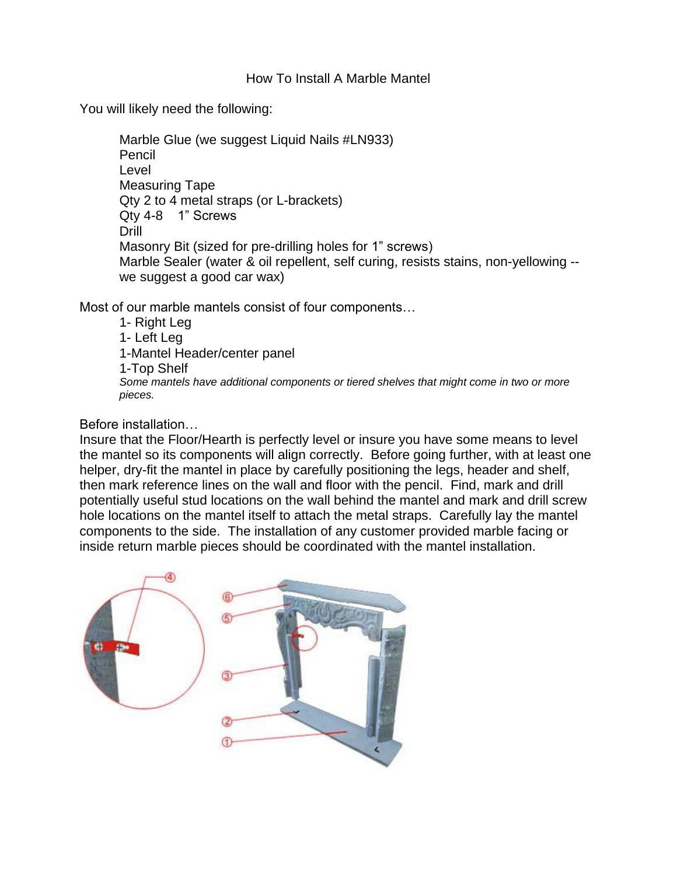### How To Install A Marble Mantel

You will likely need the following:

Marble Glue (we suggest Liquid Nails #LN933) Pencil Level Measuring Tape Qty 2 to 4 metal straps (or L-brackets) Qty 4-8 1" Screws Drill Masonry Bit (sized for pre-drilling holes for 1" screws) Marble Sealer (water & oil repellent, self curing, resists stains, non-yellowing - we suggest a good car wax)

Most of our marble mantels consist of four components…

1- Right Leg 1- Left Leg 1-Mantel Header/center panel 1-Top Shelf *Some mantels have additional components or tiered shelves that might come in two or more pieces.*

Before installation…

Insure that the Floor/Hearth is perfectly level or insure you have some means to level the mantel so its components will align correctly. Before going further, with at least one helper, dry-fit the mantel in place by carefully positioning the legs, header and shelf, then mark reference lines on the wall and floor with the pencil. Find, mark and drill potentially useful stud locations on the wall behind the mantel and mark and drill screw hole locations on the mantel itself to attach the metal straps. Carefully lay the mantel components to the side. The installation of any customer provided marble facing or inside return marble pieces should be coordinated with the mantel installation.